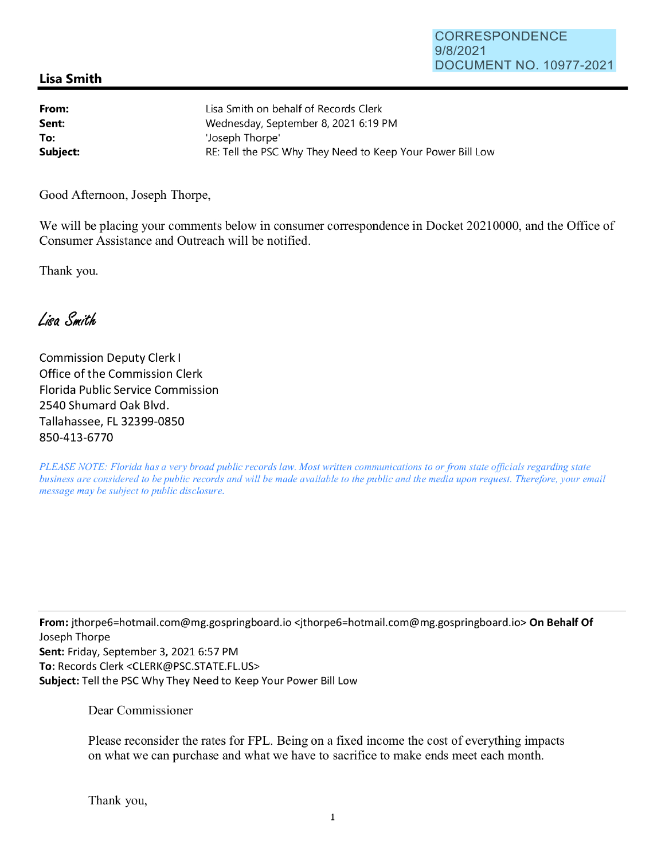## **Lisa Smith**

| From:    | Lisa Smith on behalf of Records Clerk                      |
|----------|------------------------------------------------------------|
| Sent:    | Wednesday, September 8, 2021 6:19 PM                       |
| To:      | 'Joseph Thorpe'                                            |
| Subject: | RE: Tell the PSC Why They Need to Keep Your Power Bill Low |

Good Afternoon, Joseph Thorpe,

We will be placing your comments below in consumer correspondence in Docket 20210000, and the Office of Consumer Assistance and Outreach will be notified.

Thank you.

Lisa Smith

Commission Deputy Clerk I Office of the Commission Clerk Florida Public Service Commission 2540 Shumard Oak Blvd. Tallahassee, FL 32399-0850 850-413-6770

*PLEASE NOTE: Florida has a very broad public records law. Most written communications to or from state officials regarding state business are considered to be public records and will be made available to the public and the media upon request. Therefore, your email message may be subject to public disclosure.* 

**From:** jthorpe6=hotmai1.com@mg.gospringboard.io <jthorpe6=hotmail.com@mg.gospringboard.io> **On Behalf Of**  Joseph Thorpe **Sent:** Friday, September 3, 2021 6:57 PM **To:** Records Clerk <CLERK@PSC.STATE.FL.US> **Subject:** Tell the PSC Why They Need to Keep Your Power Bill Low

Dear Commissioner

Please reconsider the rates for FPL. Being on a fixed income the cost of everything impacts on what we can purchase and what we have to sacrifice to make ends meet each month.

Thank you,